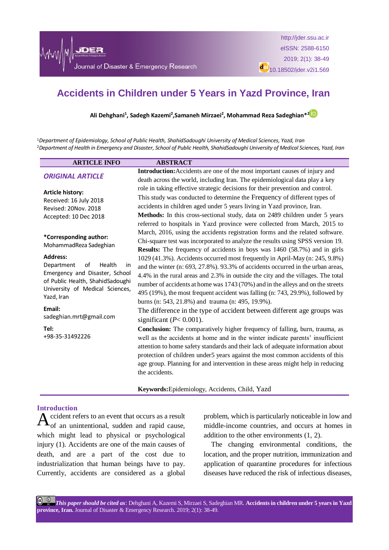

http://jder.ssu.ac.ir eISSN: 2588-6150 2019; 2(1): 38-49 do)<br>10.18502/jder.v2i1.569

# **Accidents in Children under 5 Years in Yazd Province, Iran**

**Ali Dehghani<sup>1</sup> , Sadegh Kazemi<sup>2</sup> ,Samaneh Mirzaei<sup>2</sup> , Mohammad Reza Sadeghian\*<sup>2</sup>**

<sup>1</sup>*Department of Epidemiology, School of Public Health, ShahidSadoughi University of Medical Sciences, Yazd, Iran* <sup>2</sup>*Department of Health in Emergency and Disaster, School of Public Health, ShahidSadoughi University of Medical Sciences, Yazd, Iran* 

| <b>ARTICLE INFO</b>                                                | <b>ABSTRACT</b>                                                                  |
|--------------------------------------------------------------------|----------------------------------------------------------------------------------|
| <b>ORIGINAL ARTICLE</b>                                            | Introduction: Accidents are one of the most important causes of injury and       |
|                                                                    | death across the world, including Iran. The epidemiological data play a key      |
| <b>Article history:</b>                                            | role in taking effective strategic decisions for their prevention and control.   |
| Received: 16 July 2018                                             | This study was conducted to determine the Frequency of different types of        |
| Revised: 20Nov. 2018                                               | accidents in children aged under 5 years living in Yazd province, Iran.          |
| Accepted: 10 Dec 2018                                              | Methods: In this cross-sectional study, data on 2489 children under 5 years      |
|                                                                    | referred to hospitals in Yazd province were collected from March, 2015 to        |
| *Corresponding author:<br>MohammadReza Sadeghian                   | March, 2016, using the accidents registration forms and the related software.    |
|                                                                    | Chi-square test was incorporated to analyze the results using SPSS version 19.   |
|                                                                    | <b>Results:</b> The frequency of accidents in boys was 1460 (58.7%) and in girls |
| <b>Address:</b>                                                    | 1029 (41.3%). Accidents occurred most frequently in April-May (n: 245, 9.8%)     |
| Department<br>of<br>Health<br>in                                   | and the winter (n: 693, 27.8%). 93.3% of accidents occurred in the urban areas,  |
| Emergency and Disaster, School<br>of Public Health, ShahidSadoughi | 4.4% in the rural areas and 2.3% in outside the city and the villages. The total |
| University of Medical Sciences,                                    | number of accidents at home was 1743 (70%) and in the alleys and on the streets  |
| Yazd, Iran                                                         | 495 (19%), the most frequent accident was falling (n: 743, 29.9%), followed by   |
|                                                                    | burns (n: 543, 21.8%) and trauma (n: 495, 19.9%).                                |
| Email:                                                             | The difference in the type of accident between different age groups was          |
| sadeghian.mrt@gmail.com                                            | significant ( $P < 0.001$ ).                                                     |
| Tel:                                                               | Conclusion: The comparatively higher frequency of falling, burn, trauma, as      |
| +98-35-31492226                                                    | well as the accidents at home and in the winter indicate parents' insufficient   |
|                                                                    | attention to home safety standards and their lack of adequate information about  |
|                                                                    | protection of children under5 years against the most common accidents of this    |
|                                                                    | age group. Planning for and intervention in these areas might help in reducing   |
|                                                                    | the accidents.                                                                   |

**Keywords:**Epidemiology, Accidents, Child, Yazd

### **Introduction**

 $A_{\text{of an unintentional, sudden and rapid cause,}}$ of an unintentional, sudden and rapid cause, which might lead to physical or psychological injury (1). Accidents are one of the main causes of death, and are a part of the cost due to industrialization that human beings have to pay. Currently, accidents are considered as a global

problem, which is particularly noticeable in low and middle-income countries, and occurs at homes in addition to the other environments (1, 2).

The changing environmental conditions, the location, and the proper nutrition, immunization and application of quarantine procedures for infectious diseases have reduced the risk of infectious diseases,

 $\boxed{6}$   $\boxed{0}$ *This paper should be cited as*: Dehghani A, Kazemi S, Mirzaei S, Sadeghian MR. **Accidents in children under 5 years in Yazd province, Iran.** Journal of Disaster & Emergency Research. 2019; 2(1): 38-49.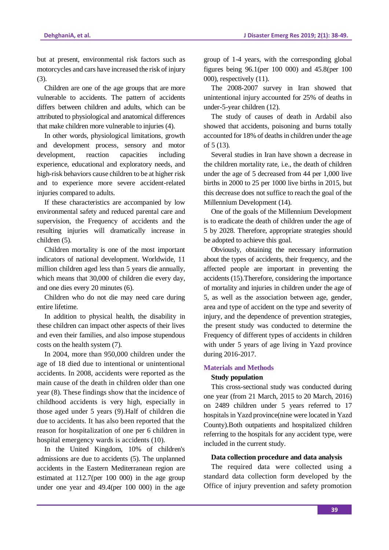but at present, environmental risk factors such as motorcycles and cars have increased the risk of injury (3).

Children are one of the age groups that are more vulnerable to accidents. The pattern of accidents differs between children and adults, which can be attributed to physiological and anatomical differences that make children more vulnerable to injuries (4).

In other words, physiological limitations, growth and development process, sensory and motor development, reaction capacities including experience, educational and exploratory needs, and high-risk behaviors cause children to be at higher risk and to experience more severe accident-related injuries compared to adults.

If these characteristics are accompanied by low environmental safety and reduced parental care and supervision, the Frequency of accidents and the resulting injuries will dramatically increase in children (5).

Children mortality is one of the most important indicators of national development. Worldwide, 11 million children aged less than 5 years die annually, which means that 30,000 of children die every day, and one dies every 20 minutes (6).

Children who do not die may need care during entire lifetime.

In addition to physical health, the disability in these children can impact other aspects of their lives and even their families, and also impose stupendous costs on the health system (7).

In 2004, more than 950,000 children under the age of 18 died due to intentional or unintentional accidents. In 2008, accidents were reported as the main cause of the death in children older than one year (8). These findings show that the incidence of childhood accidents is very high, especially in those aged under 5 years (9).Half of children die due to accidents. It has also been reported that the reason for hospitalization of one per 6 children in hospital emergency wards is accidents (10).

In the United Kingdom, 10% of children's admissions are due to accidents (5). The unplanned accidents in the Eastern Mediterranean region are estimated at 112.7(per 100 000) in the age group under one year and 49.4(per 100 000) in the age

group of 1-4 years, with the corresponding global figures being 96.1(per 100 000) and 45.8(per 100 000), respectively (11).

The 2008-2007 survey in Iran showed that unintentional injury accounted for 25% of deaths in under-5-year children (12).

The study of causes of death in Ardabil also showed that accidents, poisoning and burns totally accounted for 18% of deaths in children under the age of 5 (13).

Several studies in Iran have shown a decrease in the children mortality rate, i.e., the death of children under the age of 5 decreased from 44 per 1,000 live births in 2000 to 25 per 1000 live births in 2015, but this decrease does not suffice to reach the goal of the Millennium Development (14).

One of the goals of the Millennium Development is to eradicate the death of children under the age of 5 by 2028. Therefore, appropriate strategies should be adopted to achieve this goal.

Obviously, obtaining the necessary information about the types of accidents, their frequency, and the affected people are important in preventing the accidents (15).Therefore, considering the importance of mortality and injuries in children under the age of 5, as well as the association between age, gender, area and type of accident on the type and severity of injury, and the dependence of prevention strategies, the present study was conducted to determine the Frequency of different types of accidents in children with under 5 years of age living in Yazd province during 2016-2017.

# **Materials and Methods**

### **Study population**

This cross-sectional study was conducted during one year (from 21 March, 2015 to 20 March, 2016) on 2489 children under 5 years referred to 17 hospitals in Yazd province(nine were located in Yazd County).Both outpatients and hospitalized children referring to the hospitals for any accident type, were included in the current study.

### **Data collection procedure and data analysis**

The required data were collected using a standard data collection form developed by the Office of injury prevention and safety promotion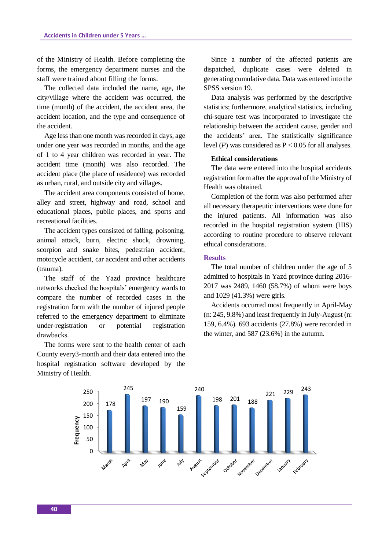of the Ministry of Health. Before completing the forms, the emergency department nurses and the staff were trained about filling the forms.

The collected data included the name, age, the city/village where the accident was occurred, the time (month) of the accident, the accident area, the accident location, and the type and consequence of the accident.

Age less than one month was recorded in days, age under one year was recorded in months, and the age of 1 to 4 year children was recorded in year. The accident time (month) was also recorded. The accident place (the place of residence) was recorded as urban, rural, and outside city and villages.

The accident area components consisted of home, alley and street, highway and road, school and educational places, public places, and sports and recreational facilities.

The accident types consisted of falling, poisoning, animal attack, burn, electric shock, drowning, scorpion and snake bites, pedestrian accident, motocycle accident, car accident and other accidents (trauma).

The staff of the Yazd province healthcare networks checked the hospitals' emergency wards to compare the number of recorded cases in the registration form with the number of injured people referred to the emergency department to eliminate under-registration or potential registration drawbacks.

The forms were sent to the health center of each County every3-month and their data entered into the hospital registration software developed by the Ministry of Health.

Since a number of the affected patients are dispatched, duplicate cases were deleted in generating cumulative data. Data was entered into the SPSS version 19.

Data analysis was performed by the descriptive statistics; furthermore, analytical statistics, including chi-square test was incorporated to investigate the relationship between the accident cause, gender and the accidents' area. The statistically significance level ( $P$ ) was considered as  $P < 0.05$  for all analyses.

## **Ethical considerations**

The data were entered into the hospital accidents registration form after the approval of the Ministry of Health was obtained.

Completion of the form was also performed after all necessary therapeutic interventions were done for the injured patients. All information was also recorded in the hospital registration system (HIS) according to routine procedure to observe relevant ethical considerations.

#### **Results**

The total number of children under the age of 5 admitted to hospitals in Yazd province during 2016- 2017 was 2489, 1460 (58.7%) of whom were boys and 1029 (41.3%) were girls.

Accidents occurred most frequently in April-May (n: 245, 9.8%) and least frequently in July-August (n: 159, 6.4%). 693 accidents (27.8%) were recorded in the winter, and 587 (23.6%) in the autumn.

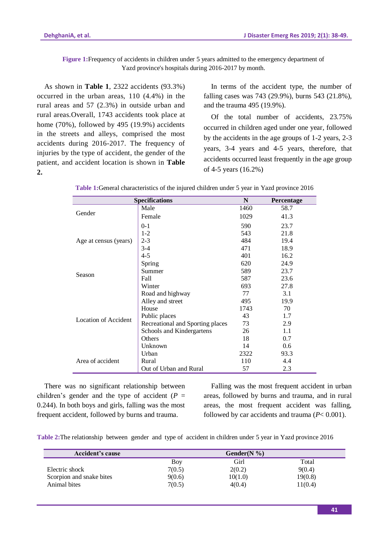**Figure 1:**Frequency of accidents in children under 5 years admitted to the emergency department of Yazd province's hospitals during 2016-2017 by month.

As shown in **Table 1**, 2322 accidents (93.3%) occurred in the urban areas, 110 (4.4%) in the rural areas and 57 (2.3%) in outside urban and rural areas.Overall, 1743 accidents took place at home (70%), followed by 495 (19.9%) accidents in the streets and alleys, comprised the most accidents during 2016-2017. The frequency of injuries by the type of accident, the gender of the patient, and accident location is shown in **Table 2.**

In terms of the accident type, the number of falling cases was 743 (29.9%), burns 543 (21.8%), and the trauma 495 (19.9%).

Of the total number of accidents, 23.75% occurred in children aged under one year, followed by the accidents in the age groups of 1-2 years, 2-3 years, 3-4 years and 4-5 years, therefore, that accidents occurred least frequently in the age group of 4-5 years (16.2%)

| <b>Specifications</b> |                                  | N    | Percentage |
|-----------------------|----------------------------------|------|------------|
|                       | Male                             | 1460 | 58.7       |
| Gender                | Female                           | 1029 | 41.3       |
|                       | $0 - 1$                          | 590  | 23.7       |
|                       | $1 - 2$                          | 543  | 21.8       |
| Age at census (years) | $2 - 3$                          | 484  | 19.4       |
|                       | $3-4$                            | 471  | 18.9       |
|                       | 4-5                              | 401  | 16.2       |
|                       | Spring                           | 620  | 24.9       |
| Season                | Summer                           | 589  | 23.7       |
|                       | Fall                             | 587  | 23.6       |
|                       | Winter                           | 693  | 27.8       |
| Location of Accident  | Road and highway                 | 77   | 3.1        |
|                       | Alley and street                 | 495  | 19.9       |
|                       | House                            | 1743 | 70         |
|                       | Public places                    | 43   | 1.7        |
|                       | Recreational and Sporting places | 73   | 2.9        |
|                       | Schools and Kindergartens        | 26   | 1.1        |
|                       | <b>Others</b>                    | 18   | 0.7        |
|                       | Unknown                          | 14   | 0.6        |
|                       | Urban                            | 2322 | 93.3       |
| Area of accident      | Rural                            | 110  | 4.4        |
|                       | Out of Urban and Rural           | 57   | 2.3        |

**Table 1:**General characteristics of the injured children under 5 year in Yazd province 2016

There was no significant relationship between children's gender and the type of accident  $(P =$ 0.244). In both boys and girls, falling was the most frequent accident, followed by burns and trauma.

Falling was the most frequent accident in urban areas, followed by burns and trauma, and in rural areas, the most frequent accident was falling, followed by car accidents and trauma (*P*< 0.001).

**Table 2:**The relationship between gender and type of accident in children under 5 year in Yazd province 2016

| <b>Accident's cause</b>  |        | Gender $(N \%)$ |         |
|--------------------------|--------|-----------------|---------|
|                          | Boy    | Girl            | Total   |
| Electric shock           | 7(0.5) | 2(0.2)          | 9(0.4)  |
| Scorpion and snake bites | 9(0.6) | 10(1.0)         | 19(0.8) |
| Animal bites             | 7(0.5) | 4(0.4)          | 11(0.4) |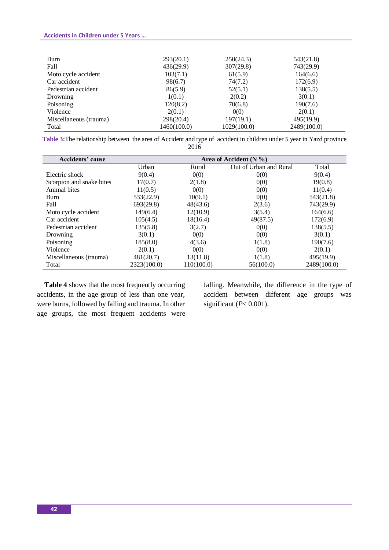# **Accidents in Children under 5 Years …**

| Burn                   | 293(20.1)   | 250(24.3)   | 543(21.8)   |
|------------------------|-------------|-------------|-------------|
| Fall                   | 436(29.9)   | 307(29.8)   | 743(29.9)   |
| Moto cycle accident    | 103(7.1)    | 61(5.9)     | 164(6.6)    |
| Car accident           | 98(6.7)     | 74(7.2)     | 172(6.9)    |
| Pedestrian accident    | 86(5.9)     | 52(5.1)     | 138(5.5)    |
| Drowning               | 1(0.1)      | 2(0.2)      | 3(0.1)      |
| Poisoning              | 120(8.2)    | 70(6.8)     | 190(7.6)    |
| Violence               | 2(0.1)      | 0(0)        | 2(0.1)      |
| Miscellaneous (trauma) | 298(20.4)   | 197(19.1)   | 495(19.9)   |
| Total                  | 1460(100.0) | 1029(100.0) | 2489(100.0) |

**Table 3:**The relationship between the area of Accident and type of accident in children under 5 year in Yazd province 2016

| Accidents' cause         | Area of Accident $(N \%)$ |            |                        |             |  |
|--------------------------|---------------------------|------------|------------------------|-------------|--|
|                          | Urban                     | Rural      | Out of Urban and Rural | Total       |  |
| Electric shock           | 9(0.4)                    | 0(0)       | 0(0)                   | 9(0.4)      |  |
| Scorpion and snake bites | 17(0.7)                   | 2(1.8)     | 0(0)                   | 19(0.8)     |  |
| Animal bites             | 11(0.5)                   | 0(0)       | 0(0)                   | 11(0.4)     |  |
| Burn                     | 533(22.9)                 | 10(9.1)    | 0(0)                   | 543(21.8)   |  |
| Fall                     | 693(29.8)                 | 48(43.6)   | 2(3.6)                 | 743(29.9)   |  |
| Moto cycle accident      | 149(6.4)                  | 12(10.9)   | 3(5.4)                 | 164(6.6)    |  |
| Car accident             | 105(4.5)                  | 18(16.4)   | 49(87.5)               | 172(6.9)    |  |
| Pedestrian accident      | 135(5.8)                  | 3(2.7)     | 0(0)                   | 138(5.5)    |  |
| Drowning                 | 3(0.1)                    | 0(0)       | 0(0)                   | 3(0.1)      |  |
| Poisoning                | 185(8.0)                  | 4(3.6)     | 1(1.8)                 | 190(7.6)    |  |
| Violence                 | 2(0.1)                    | 0(0)       | 0(0)                   | 2(0.1)      |  |
| Miscellaneous (trauma)   | 481(20.7)                 | 13(11.8)   | 1(1.8)                 | 495(19.9)   |  |
| Total                    | 2323(100.0)               | 110(100.0) | 56(100.0)              | 2489(100.0) |  |

**Table 4** shows that the most frequently occurring accidents, in the age group of less than one year, were burns, followed by falling and trauma. In other age groups, the most frequent accidents were

falling. Meanwhile, the difference in the type of accident between different age groups was significant  $(P< 0.001)$ .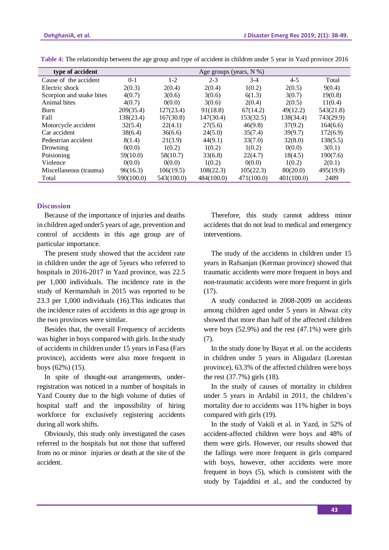| type of accident         | Age groups (years, N %) |            |            |            |            |           |
|--------------------------|-------------------------|------------|------------|------------|------------|-----------|
| Cause of the accident    | $0 - 1$                 | $1 - 2$    | $2 - 3$    | $3-4$      | $4 - 5$    | Total     |
| Electric shock           | 2(0.3)                  | 2(0.4)     | 2(0.4)     | 1(0.2)     | 2(0.5)     | 9(0.4)    |
| Scorpion and snake bites | 4(0.7)                  | 3(0.6)     | 3(0.6)     | 6(1.3)     | 3(0.7)     | 19(0.8)   |
| Animal bites             | 4(0.7)                  | 0(0.0)     | 3(0.6)     | 2(0.4)     | 2(0.5)     | 11(0.4)   |
| Burn                     | 209(35.4)               | 127(23.4)  | 91(18.8)   | 67(14.2)   | 49(12.2)   | 543(21.8) |
| Fall                     | 138(23.4)               | 167(30.8)  | 147(30.4)  | 153(32.5)  | 138(34.4)  | 743(29.9) |
| Motorcycle accident      | 32(5.4)                 | 22(4.1)    | 27(5.6)    | 46(9.8)    | 37(9.2)    | 164(6.6)  |
| Car accident             | 38(6.4)                 | 36(6.6)    | 24(5.0)    | 35(7.4)    | 39(9.7)    | 172(6.9)  |
| Pedestrian accident      | 8(1.4)                  | 21(3.9)    | 44(9.1)    | 33(7.0)    | 32(8.0)    | 138(5.5)  |
| Drowning                 | 0(0.0)                  | 1(0.2)     | 1(0.2)     | 1(0.2)     | 0(0.0)     | 3(0.1)    |
| Poisioning               | 59(10.0)                | 58(10.7)   | 33(6.8)    | 22(4.7)    | 18(4.5)    | 190(7.6)  |
| Violence                 | 0(0.0)                  | 0(0.0)     | 1(0.2)     | 0(0.0)     | 1(0.2)     | 2(0.1)    |
| Miscellaneous (trauma)   | 96(16.3)                | 106(19.5)  | 108(22.3)  | 105(22.3)  | 80(20.0)   | 495(19.9) |
| Total                    | 590(100.0)              | 543(100.0) | 484(100.0) | 471(100.0) | 401(100.0) | 2489      |

**Table 4:** The relationship between the age group and type of accident in children under 5 year in Yazd province 2016

# **Discussion**

Because of the importance of injuries and deaths in children aged under5 years of age, prevention and control of accidents in this age group are of particular importance.

The present study showed that the accident rate in children under the age of 5years who referred to hospitals in 2016-2017 in Yazd province, was 22.5 per 1,000 individuals. The incidence rate in the study of Kermanshah in 2015 was reported to be 23.3 per 1,000 individuals (16).This indicates that the incidence rates of accidents in this age group in the two provinces were similar.

Besides that, the overall Frequency of accidents was higher in boys compared with girls. In the study of accidents in children under 15 years in Fasa (Fars province), accidents were also more frequent in boys (62%) (15).

In spite of thought-out arrangements, underregistration was noticed in a number of hospitals in Yazd County due to the high volume of duties of hospital staff and the impossibility of hiring workforce for exclusively registering accidents during all work shifts.

Obviously, this study only investigated the cases referred to the hospitals but not those that suffered from no or minor injuries or death at the site of the accident.

Therefore, this study cannot address minor accidents that do not lead to medical and emergency interventions.

The study of the accidents in children under 15 years in Rafsanjan (Kerman province) showed that traumatic accidents were more frequent in boys and non-traumatic accidents were more frequent in girls  $(17)$ .

A study conducted in 2008-2009 on accidents among children aged under 5 years in Ahwaz city showed that more than half of the affected children were boys (52.9%) and the rest (47.1%) were girls (7).

In the study done by Bayat et al. on the accidents in children under 5 years in Aligudarz (Lorestan province), 63.3% of the affected children were boys the rest (37.7%) girls (18).

In the study of causes of mortality in children under 5 years in Ardabil in 2011, the children's mortality due to accidents was 11% higher in boys compared with girls (19).

In the study of Vakili et al. in Yazd, in 52% of accident-affected children were boys and 48% of them were girls. However, our results showed that the fallings were more frequent in girls compared with boys, however, other accidents were more frequent in boys (5), which is consistent with the study by Tajaddini et al., and the conducted by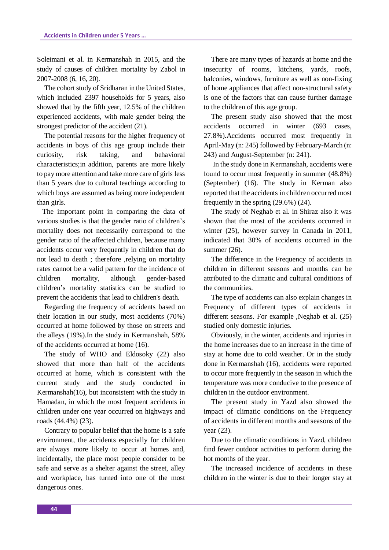Soleimani et al. in Kermanshah in 2015, and the study of causes of children mortality by Zabol in 2007-2008 (6, 16, 20).

The cohort study of Sridharan in the United States, which included 2397 households for 5 years, also showed that by the fifth year, 12.5% of the children experienced accidents, with male gender being the strongest predictor of the accident (21).

The potential reasons for the higher frequency of accidents in boys of this age group include their curiosity, risk taking, and behavioral characteristics;in addition, parents are more likely to pay more attention and take more care of girls less than 5 years due to cultural teachings according to which boys are assumed as being more independent than girls.

 The important point in comparing the data of various studies is that the gender ratio of children's mortality does not necessarily correspond to the gender ratio of the affected children, because many accidents occur very frequently in children that do not lead to death ; therefore ,relying on mortality rates cannot be a valid pattern for the incidence of children mortality, although gender-based children's mortality statistics can be studied to prevent the accidents that lead to children's death.

Regarding the frequency of accidents based on their location in our study, most accidents (70%) occurred at home followed by those on streets and the alleys (19%).In the study in Kermanshah, 58% of the accidents occurred at home (16).

The study of WHO and Eldosoky (22) also showed that more than half of the accidents occurred at home, which is consistent with the current study and the study conducted in Kermanshah(16), but inconsistent with the study in Hamadan, in which the most frequent accidents in children under one year occurred on highways and roads (44.4%) (23).

Contrary to popular belief that the home is a safe environment, the accidents especially for children are always more likely to occur at homes and, incidentally, the place most people consider to be safe and serve as a shelter against the street, alley and workplace, has turned into one of the most dangerous ones.

There are many types of hazards at home and the insecurity of rooms, kitchens, yards, roofs, balconies, windows, furniture as well as non-fixing of home appliances that affect non-structural safety is one of the factors that can cause further damage to the children of this age group.

The present study also showed that the most accidents occurred in winter (693 cases, 27.8%).Accidents occurred most frequently in April-May (n: 245) followed by February-March (n: 243) and August-September (n: 241).

In the study done in Kermanshah, accidents were found to occur most frequently in summer (48.8%) (September) (16). The study in Kerman also reported that the accidents in children occurred most frequently in the spring (29.6%) (24).

The study of Neghab et al. in Shiraz also it was shown that the most of the accidents occurred in winter (25), however survey in Canada in 2011, indicated that 30% of accidents occurred in the summer (26).

The difference in the Frequency of accidents in children in different seasons and months can be attributed to the climatic and cultural conditions of the communities.

The type of accidents can also explain changes in Frequency of different types of accidents in different seasons. For example ,Neghab et al. (25) studied only domestic injuries.

Obviously, in the winter, accidents and injuries in the home increases due to an increase in the time of stay at home due to cold weather. Or in the study done in Kermanshah (16), accidents were reported to occur more frequently in the season in which the temperature was more conducive to the presence of children in the outdoor environment.

The present study in Yazd also showed the impact of climatic conditions on the Frequency of accidents in different months and seasons of the year (23).

Due to the climatic conditions in Yazd, children find fewer outdoor activities to perform during the hot months of the year.

The increased incidence of accidents in these children in the winter is due to their longer stay at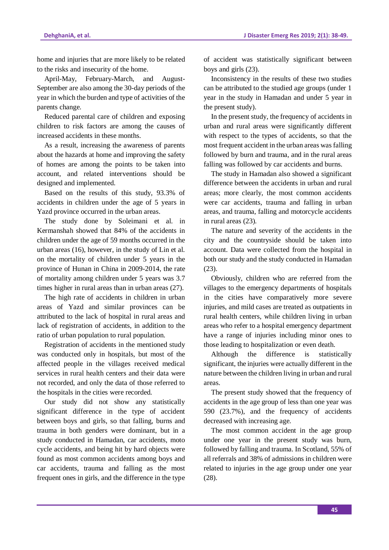home and injuries that are more likely to be related to the risks and insecurity of the home.

April-May, February-March, and August-September are also among the 30-day periods of the year in which the burden and type of activities of the parents change.

Reduced parental care of children and exposing children to risk factors are among the causes of increased accidents in these months.

As a result, increasing the awareness of parents about the hazards at home and improving the safety of homes are among the points to be taken into account, and related interventions should be designed and implemented.

Based on the results of this study, 93.3% of accidents in children under the age of 5 years in Yazd province occurred in the urban areas.

The study done by Soleimani et al. in Kermanshah showed that 84% of the accidents in children under the age of 59 months occurred in the urban areas (16), however, in the study of Lin et al. on the mortality of children under 5 years in the province of Hunan in China in 2009-2014, the rate of mortality among children under 5 years was 3.7 times higher in rural areas than in urban areas (27).

The high rate of accidents in children in urban areas of Yazd and similar provinces can be attributed to the lack of hospital in rural areas and lack of registration of accidents, in addition to the ratio of urban population to rural population.

Registration of accidents in the mentioned study was conducted only in hospitals, but most of the affected people in the villages received medical services in rural health centers and their data were not recorded, and only the data of those referred to the hospitals in the cities were recorded.

Our study did not show any statistically significant difference in the type of accident between boys and girls, so that falling, burns and trauma in both genders were dominant, but in a study conducted in Hamadan, car accidents, moto cycle accidents, and being hit by hard objects were found as most common accidents among boys and car accidents, trauma and falling as the most frequent ones in girls, and the difference in the type

of accident was statistically significant between boys and girls (23).

Inconsistency in the results of these two studies can be attributed to the studied age groups (under 1 year in the study in Hamadan and under 5 year in the present study).

In the present study, the frequency of accidents in urban and rural areas were significantly different with respect to the types of accidents, so that the most frequent accident in the urban areas was falling followed by burn and trauma, and in the rural areas falling was followed by car accidents and burns.

The study in Hamadan also showed a significant difference between the accidents in urban and rural areas; more clearly, the most common accidents were car accidents, trauma and falling in urban areas, and trauma, falling and motorcycle accidents in rural areas (23).

The nature and severity of the accidents in the city and the countryside should be taken into account. Data were collected from the hospital in both our study and the study conducted in Hamadan (23).

Obviously, children who are referred from the villages to the emergency departments of hospitals in the cities have comparatively more severe injuries, and mild cases are treated as outpatients in rural health centers, while children living in urban areas who refer to a hospital emergency department have a range of injuries including minor ones to those leading to hospitalization or even death.

Although the difference is statistically significant, the injuries were actually different in the nature between the children living in urban and rural areas.

The present study showed that the frequency of accidents in the age group of less than one year was 590 (23.7%), and the frequency of accidents decreased with increasing age.

The most common accident in the age group under one year in the present study was burn, followed by falling and trauma. In Scotland, 55% of all referrals and 38% of admissions in children were related to injuries in the age group under one year (28).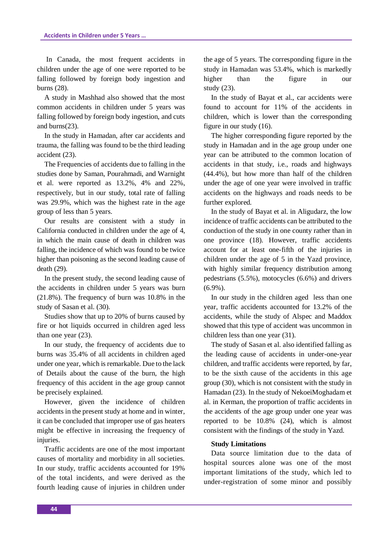In Canada, the most frequent accidents in children under the age of one were reported to be falling followed by foreign body ingestion and burns (28).

A study in Mashhad also showed that the most common accidents in children under 5 years was falling followed by foreign body ingestion, and cuts and burns(23).

In the study in Hamadan, after car accidents and trauma, the falling was found to be the third leading accident (23).

The Frequencies of accidents due to falling in the studies done by Saman, Pourahmadi, and Warnight et al. were reported as 13.2%, 4% and 22%, respectively, but in our study, total rate of falling was 29.9%, which was the highest rate in the age group of less than 5 years.

Our results are consistent with a study in California conducted in children under the age of 4, in which the main cause of death in children was falling, the incidence of which was found to be twice higher than poisoning as the second leading cause of death (29).

In the present study, the second leading cause of the accidents in children under 5 years was burn (21.8%). The frequency of burn was 10.8% in the study of Sasan et al. (30).

Studies show that up to 20% of burns caused by fire or hot liquids occurred in children aged less than one year (23).

In our study, the frequency of accidents due to burns was 35.4% of all accidents in children aged under one year, which is remarkable. Due to the lack of Details about the cause of the burn, the high frequency of this accident in the age group cannot be precisely explained.

However, given the incidence of children accidents in the present study at home and in winter, it can be concluded that improper use of gas heaters might be effective in increasing the frequency of injuries.

Traffic accidents are one of the most important causes of mortality and morbidity in all societies. In our study, traffic accidents accounted for 19% of the total incidents, and were derived as the fourth leading cause of injuries in children under the age of 5 years. The corresponding figure in the study in Hamadan was 53.4%, which is markedly higher than the figure in our study (23).

In the study of Bayat et al., car accidents were found to account for 11% of the accidents in children, which is lower than the corresponding figure in our study (16).

The higher corresponding figure reported by the study in Hamadan and in the age group under one year can be attributed to the common location of accidents in that study, i.e., roads and highways (44.4%), but how more than half of the children under the age of one year were involved in traffic accidents on the highways and roads needs to be further explored.

In the study of Bayat et al. in Aligudarz, the low incidence of traffic accidents can be attributed to the conduction of the study in one county rather than in one province (18). However, traffic accidents account for at least one-fifth of the injuries in children under the age of 5 in the Yazd province, with highly similar frequency distribution among pedestrians (5.5%), motocycles (6.6%) and drivers (6.9%).

In our study in the children aged less than one year, traffic accidents accounted for 13.2% of the accidents, while the study of Alspec and Maddox showed that this type of accident was uncommon in children less than one year (31).

The study of Sasan et al. also identified falling as the leading cause of accidents in under-one-year children, and traffic accidents were reported, by far, to be the sixth cause of the accidents in this age group (30), which is not consistent with the study in Hamadan (23). In the study of NekoeiMoghadam et al. in Kerman, the proportion of traffic accidents in the accidents of the age group under one year was reported to be 10.8% (24), which is almost consistent with the findings of the study in Yazd.

## **Study Limitations**

Data source limitation due to the data of hospital sources alone was one of the most important limitations of the study, which led to under-registration of some minor and possibly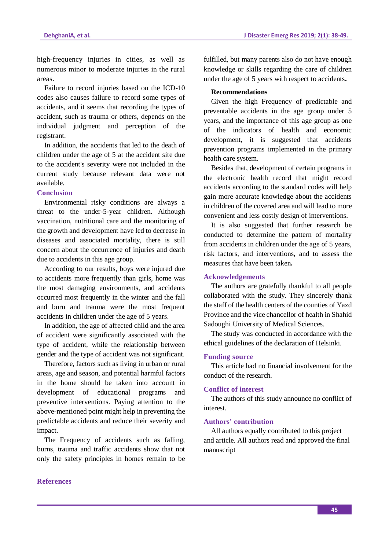high-frequency injuries in cities, as well as numerous minor to moderate injuries in the rural areas.

Failure to record injuries based on the ICD-10 codes also causes failure to record some types of accidents, and it seems that recording the types of accident, such as trauma or others, depends on the individual judgment and perception of the registrant.

In addition, the accidents that led to the death of children under the age of 5 at the accident site due to the accident's severity were not included in the current study because relevant data were not available.

## **Conclusion**

Environmental risky conditions are always a threat to the under-5-year children. Although vaccination, nutritional care and the monitoring of the growth and development have led to decrease in diseases and associated mortality, there is still concern about the occurrence of injuries and death due to accidents in this age group.

According to our results, boys were injured due to accidents more frequently than girls, home was the most damaging environments, and accidents occurred most frequently in the winter and the fall and burn and trauma were the most frequent accidents in children under the age of 5 years.

In addition, the age of affected child and the area of accident were significantly associated with the type of accident, while the relationship between gender and the type of accident was not significant.

Therefore, factors such as living in urban or rural areas, age and season, and potential harmful factors in the home should be taken into account in development of educational programs and preventive interventions. Paying attention to the above-mentioned point might help in preventing the predictable accidents and reduce their severity and impact.

The Frequency of accidents such as falling, burns, trauma and traffic accidents show that not only the safety principles in homes remain to be fulfilled, but many parents also do not have enough knowledge or skills regarding the care of children under the age of 5 years with respect to accidents**.**

## **Recommendations**

Given the high Frequency of predictable and preventable accidents in the age group under 5 years, and the importance of this age group as one of the indicators of health and economic development, it is suggested that accidents prevention programs implemented in the primary health care system.

Besides that, development of certain programs in the electronic health record that might record accidents according to the standard codes will help gain more accurate knowledge about the accidents in children of the covered area and will lead to more convenient and less costly design of interventions.

It is also suggested that further research be conducted to determine the pattern of mortality from accidents in children under the age of 5 years, risk factors, and interventions, and to assess the measures that have been taken**.**

### **Acknowledgements**

The authors are gratefully thankful to all people collaborated with the study. They sincerely thank the staff of the health centers of the counties of Yazd Province and the vice chancellor of health in Shahid Sadoughi University of Medical Sciences.

The study was conducted in accordance with the ethical guidelines of the declaration of Helsinki.

# **Funding source**

This article had no financial involvement for the conduct of the research.

## **Conflict of interest**

The authors of this study announce no conflict of interest.

# **Authors' contribution**

All authors equally contributed to this project and article. All authors read and approved the final manuscript

### **References**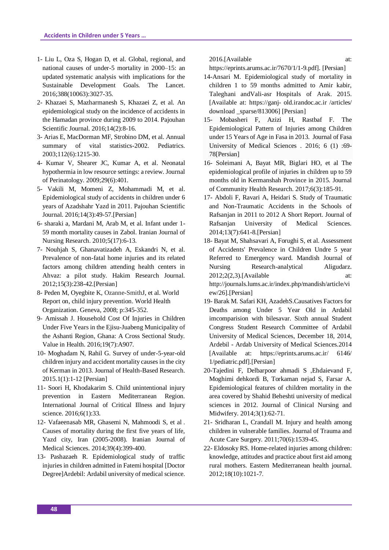- 1- Liu L, Oza S, Hogan D, et al. Global, regional, and national causes of under-5 mortality in 2000–15: an updated systematic analysis with implications for the Sustainable Development Goals. The Lancet. 2016;388(10063):3027-35.
- 2- Khazaei S, Mazharmanesh S, Khazaei Z, et al. An epidemiological study on the incidence of accidents in the Hamadan province during 2009 to 2014. Pajouhan Scientific Journal. 2016;14(2):8-16.
- 3- Arias E, MacDorman MF, Strobino DM, et al. Annual summary of vital statistics-2002. Pediatrics. 2003;112(6):1215-30.
- 4- Kumar V, Shearer JC, Kumar A, et al. Neonatal hypothermia in low resource settings: a review. Journal of Perinatology. 2009;29(6):401.
- 5- Vakili M, Momeni Z, Mohammadi M, et al. Epidemiological study of accidents in children under 6 years of Azadshahr Yazd in 2011. Pajouhan Scientific Journal. 2016;14(3):49-57.[Persian]
- 6- sharaki a, Mardani M, Arab M, et al. Infant under 1- 59 month mortality causes in Zabol. Iranian Journal of Nursing Research. 2010;5(17):6-13.
- 7- Nouhjah S, Ghanavatizadeh A, Eskandri N, et al. Prevalence of non-fatal home injuries and its related factors among children attending health centers in Ahvaz: a pilot study. Hakim Research Journal. 2012;15(3):238-42.[Persian]
- 8- Peden M, Oyegbite K, Ozanne-SmithJ, et al. World Report on, child injury prevention. World Health Organization. Geneva, 2008; p:345-352.
- 9- Amissah J. Household Cost Of Injuries in Children Under Five Years in the Ejisu-Juabeng Municipality of the Ashanti Region, Ghana: A Cross Sectional Study. Value in Health. 2016;19(7):A907.
- 10- Moghadam N, Rahil G. Survey of under-5-year-old children injury and accident mortality causes in the city of Kerman in 2013. Journal of Health-Based Research. 2015.1(1):1-12 [Persian]
- 11- Soori H, Khodakarim S. Child unintentional injury prevention in Eastern Mediterranean Region. International Journal of Critical Illness and Injury science. 2016;6(1):33.
- 12- Vafaeenasab MR, Ghasemi N, Mahmoodi S, et al . Causes of mortality during the first five years of life, Yazd city, Iran (2005-2008). Iranian Journal of Medical Sciences. 2014;39(4):399-400.
- 13- Pashazaeh R. Epidemiological study of traffic injuries in children admitted in Fatemi hospital [Doctor Degree]Ardebil: Ardabil university of medical science.

2016.[Available at:

- https://eprints.arums.ac.ir/7670/1/1-9.pdf]. [Persian]
- 14-Ansari M. Epidemiological study of mortality in children 1 to 59 months admitted to Amir kabir, Taleghani andVali-asr Hospitals of Arak. 2015. [Available at: https://ganj- old.irandoc.ac.ir /articles/ download \_sparse/813006] [Persian]
- 15- Mobasheri F, Azizi H, Rastbaf F. The Epidemiological Pattern of Injuries among Children under 15 Years of Age in Fasa in 2013. [Journal of Fasa](https://www.sid.ir/En/Journal/JournalList.aspx?ID=14691)  [University of Medical Sciences](https://www.sid.ir/En/Journal/JournalList.aspx?ID=14691) . 2016; 6 (1) :69- 78[Persian]
- 16- Soleimani A, Bayat MR, Biglari HO, et al The epidemiological profile of injuries in children up to 59 months old in Kermanshah Province in 2015. Journal of Community Health Research. 2017;6(3):185-91.
- 17- Abdoli F, Ravari A, Heidari S. Study of Traumatic and Non-Traumatic Accidents in the Schools of Rafsanjan in 2011 to 2012 A Short Report. Journal of Rafsanjan University of Medical Sciences. 2014;13(7):641-8.[Persian]
- 18- Bayat M, Shahsavari A, Forughi S, et al. Assessment of Accidents' Prevalence in Children Undre 5 year Referred to Emergency ward. Mandish Journal of Nursing Research-analytical Aligudarz. 2012;2(2,3).[Available at: http://journals.lums.ac.ir/index.php/mandish/article/vi ew/26].[Persian]
- 19- Barak M. Safari KH, AzadehS.Causatives Factors for Deaths among Under 5 Year Old in Ardabil imcomparision with bilesavar. Sixth annual Student Congress Student Research Committee of Ardabil University of Medical Sciences, December 18, 2014, Ardebil - Ardab University of Medical Sciences.2014 [Available at: https://eprints.arums.ac.ir/ 6146/ 1/pediatric.pdf].[Persian]
- 20-Tajedini F, Delbarpoor ahmadi S ,Ehdaievand F, Moghimi dehkordi B, Torkaman nejad S, Farsar A. Epidemiological features of children mortality in the area covered by Shahid Beheshti university of medical sciences in 2012. Journal of Clinical Nursing and Midwifery. 2014;3(1):62-71.
- 21- Sridharan L, Crandall M. Injury and health among children in vulnerable families. Journal of Trauma and Acute Care Surgery. 2011;70(6):1539-45.
- 22- Eldosoky RS. Home-related injuries among children: knowledge, attitudes and practice about first aid among rural mothers. Eastern Mediterranean health journal. 2012;18(10):1021-7.